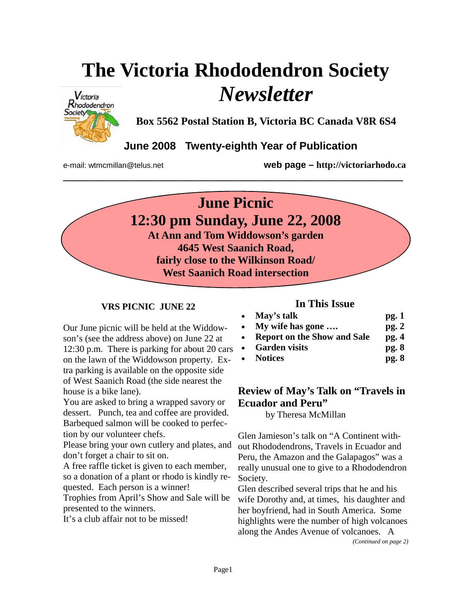# **The Victoria Rhododendron Society**  *Newsletter*



**Box 5562 Postal Station B, Victoria BC Canada V8R 6S4** 

## **June 2008 Twenty-eighth Year of Publication**

**\_\_\_\_\_\_\_\_\_\_\_\_\_\_\_\_\_\_\_\_\_\_\_\_\_\_\_\_\_\_\_\_\_\_\_\_\_\_\_\_\_\_\_\_\_\_\_\_\_\_\_\_\_\_\_\_\_\_\_\_\_\_\_** 

e-mail: wtmcmillan@telus.net **web page – http://victoriarhodo.ca**



#### **VRS PICNIC JUNE 22**

Our June picnic will be held at the Widdowson's (see the address above) on June 22 at 12:30 p.m. There is parking for about 20 cars on the lawn of the Widdowson property. Extra parking is available on the opposite side of West Saanich Road (the side nearest the house is a bike lane).

You are asked to bring a wrapped savory or dessert. Punch, tea and coffee are provided. Barbequed salmon will be cooked to perfection by our volunteer chefs.

Please bring your own cutlery and plates, and don't forget a chair to sit on.

A free raffle ticket is given to each member, so a donation of a plant or rhodo is kindly requested. Each person is a winner!

Trophies from April's Show and Sale will be presented to the winners.

It's a club affair not to be missed!

#### **In This Issue**

| • May's talk                  | pg.1  |
|-------------------------------|-------|
| • My wife has gone $\ldots$   | pg.2  |
| • Report on the Show and Sale | pg.4  |
| • Garden visits               | pg. 8 |
|                               |       |

• **Notices pg. 8** 

## **Review of May's Talk on "Travels in Ecuador and Peru"**

by Theresa McMillan

Glen Jamieson's talk on "A Continent without Rhododendrons, Travels in Ecuador and Peru, the Amazon and the Galapagos" was a really unusual one to give to a Rhododendron Society.

Glen described several trips that he and his wife Dorothy and, at times, his daughter and her boyfriend, had in South America. Some highlights were the number of high volcanoes along the Andes Avenue of volcanoes. A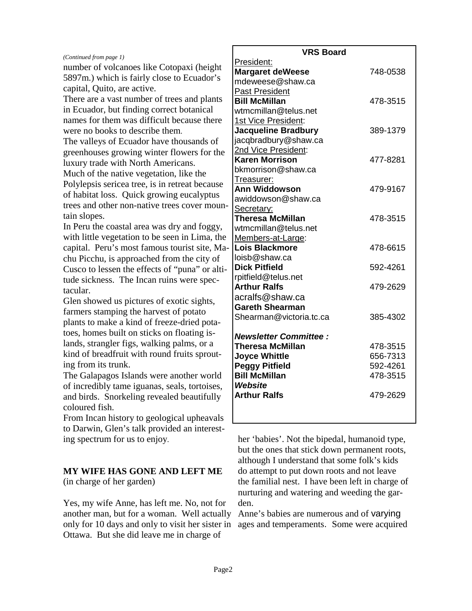| President:<br>number of volcanoes like Cotopaxi (height<br><b>Margaret deWeese</b><br>748-0538<br>5897m.) which is fairly close to Ecuador's<br>mdeweese@shaw.ca<br>capital, Quito, are active.<br>Past President<br>There are a vast number of trees and plants<br><b>Bill McMillan</b><br>478-3515<br>in Ecuador, but finding correct botanical<br>wtmcmillan@telus.net<br>names for them was difficult because there<br>1st Vice President:<br><b>Jacqueline Bradbury</b><br>were no books to describe them.<br>389-1379<br>jacqbradbury@shaw.ca<br>The valleys of Ecuador have thousands of<br>2nd Vice President:<br>greenhouses growing winter flowers for the<br><b>Karen Morrison</b><br>477-8281<br>luxury trade with North Americans.<br>bkmorrison@shaw.ca<br>Much of the native vegetation, like the<br><u>Treasurer:</u><br>Polylepsis sericea tree, is in retreat because<br><b>Ann Widdowson</b><br>479-9167<br>of habitat loss. Quick growing eucalyptus<br>awiddowson@shaw.ca |                                              | <b>VRS Board</b> |  |
|------------------------------------------------------------------------------------------------------------------------------------------------------------------------------------------------------------------------------------------------------------------------------------------------------------------------------------------------------------------------------------------------------------------------------------------------------------------------------------------------------------------------------------------------------------------------------------------------------------------------------------------------------------------------------------------------------------------------------------------------------------------------------------------------------------------------------------------------------------------------------------------------------------------------------------------------------------------------------------------------|----------------------------------------------|------------------|--|
|                                                                                                                                                                                                                                                                                                                                                                                                                                                                                                                                                                                                                                                                                                                                                                                                                                                                                                                                                                                                | (Continued from page 1)                      |                  |  |
|                                                                                                                                                                                                                                                                                                                                                                                                                                                                                                                                                                                                                                                                                                                                                                                                                                                                                                                                                                                                |                                              |                  |  |
|                                                                                                                                                                                                                                                                                                                                                                                                                                                                                                                                                                                                                                                                                                                                                                                                                                                                                                                                                                                                |                                              |                  |  |
|                                                                                                                                                                                                                                                                                                                                                                                                                                                                                                                                                                                                                                                                                                                                                                                                                                                                                                                                                                                                |                                              |                  |  |
|                                                                                                                                                                                                                                                                                                                                                                                                                                                                                                                                                                                                                                                                                                                                                                                                                                                                                                                                                                                                |                                              |                  |  |
|                                                                                                                                                                                                                                                                                                                                                                                                                                                                                                                                                                                                                                                                                                                                                                                                                                                                                                                                                                                                |                                              |                  |  |
|                                                                                                                                                                                                                                                                                                                                                                                                                                                                                                                                                                                                                                                                                                                                                                                                                                                                                                                                                                                                |                                              |                  |  |
|                                                                                                                                                                                                                                                                                                                                                                                                                                                                                                                                                                                                                                                                                                                                                                                                                                                                                                                                                                                                |                                              |                  |  |
|                                                                                                                                                                                                                                                                                                                                                                                                                                                                                                                                                                                                                                                                                                                                                                                                                                                                                                                                                                                                |                                              |                  |  |
|                                                                                                                                                                                                                                                                                                                                                                                                                                                                                                                                                                                                                                                                                                                                                                                                                                                                                                                                                                                                |                                              |                  |  |
|                                                                                                                                                                                                                                                                                                                                                                                                                                                                                                                                                                                                                                                                                                                                                                                                                                                                                                                                                                                                |                                              |                  |  |
|                                                                                                                                                                                                                                                                                                                                                                                                                                                                                                                                                                                                                                                                                                                                                                                                                                                                                                                                                                                                |                                              |                  |  |
|                                                                                                                                                                                                                                                                                                                                                                                                                                                                                                                                                                                                                                                                                                                                                                                                                                                                                                                                                                                                |                                              |                  |  |
|                                                                                                                                                                                                                                                                                                                                                                                                                                                                                                                                                                                                                                                                                                                                                                                                                                                                                                                                                                                                |                                              |                  |  |
|                                                                                                                                                                                                                                                                                                                                                                                                                                                                                                                                                                                                                                                                                                                                                                                                                                                                                                                                                                                                | trees and other non-native trees cover moun- |                  |  |
| Secretary:<br>tain slopes.                                                                                                                                                                                                                                                                                                                                                                                                                                                                                                                                                                                                                                                                                                                                                                                                                                                                                                                                                                     |                                              |                  |  |
| <b>Theresa McMillan</b><br>478-3515                                                                                                                                                                                                                                                                                                                                                                                                                                                                                                                                                                                                                                                                                                                                                                                                                                                                                                                                                            |                                              |                  |  |
| In Peru the coastal area was dry and foggy,<br>wtmcmillan@telus.net                                                                                                                                                                                                                                                                                                                                                                                                                                                                                                                                                                                                                                                                                                                                                                                                                                                                                                                            |                                              |                  |  |
| with little vegetation to be seen in Lima, the<br>Members-at-Large:                                                                                                                                                                                                                                                                                                                                                                                                                                                                                                                                                                                                                                                                                                                                                                                                                                                                                                                            |                                              |                  |  |
| capital. Peru's most famous tourist site, Ma-<br>Lois Blackmore<br>478-6615                                                                                                                                                                                                                                                                                                                                                                                                                                                                                                                                                                                                                                                                                                                                                                                                                                                                                                                    |                                              |                  |  |
| loisb@shaw.ca<br>chu Picchu, is approached from the city of<br><b>Dick Pitfield</b>                                                                                                                                                                                                                                                                                                                                                                                                                                                                                                                                                                                                                                                                                                                                                                                                                                                                                                            |                                              |                  |  |
| 592-4261<br>Cusco to lessen the effects of "puna" or alti-<br>rpitfield@telus.net                                                                                                                                                                                                                                                                                                                                                                                                                                                                                                                                                                                                                                                                                                                                                                                                                                                                                                              |                                              |                  |  |
| tude sickness. The Incan ruins were spec-<br><b>Arthur Ralfs</b><br>479-2629                                                                                                                                                                                                                                                                                                                                                                                                                                                                                                                                                                                                                                                                                                                                                                                                                                                                                                                   |                                              |                  |  |
| tacular.<br>acralfs@shaw.ca                                                                                                                                                                                                                                                                                                                                                                                                                                                                                                                                                                                                                                                                                                                                                                                                                                                                                                                                                                    |                                              |                  |  |
| Glen showed us pictures of exotic sights,<br><b>Gareth Shearman</b>                                                                                                                                                                                                                                                                                                                                                                                                                                                                                                                                                                                                                                                                                                                                                                                                                                                                                                                            |                                              |                  |  |
| farmers stamping the harvest of potato<br>Shearman@victoria.tc.ca<br>385-4302                                                                                                                                                                                                                                                                                                                                                                                                                                                                                                                                                                                                                                                                                                                                                                                                                                                                                                                  |                                              |                  |  |
| plants to make a kind of freeze-dried pota-                                                                                                                                                                                                                                                                                                                                                                                                                                                                                                                                                                                                                                                                                                                                                                                                                                                                                                                                                    |                                              |                  |  |
| toes, homes built on sticks on floating is-<br><b>Newsletter Committee:</b>                                                                                                                                                                                                                                                                                                                                                                                                                                                                                                                                                                                                                                                                                                                                                                                                                                                                                                                    |                                              |                  |  |
| lands, strangler figs, walking palms, or a<br><b>Theresa McMillan</b><br>478-3515                                                                                                                                                                                                                                                                                                                                                                                                                                                                                                                                                                                                                                                                                                                                                                                                                                                                                                              |                                              |                  |  |
| kind of breadfruit with round fruits sprout-<br><b>Joyce Whittle</b><br>656-7313                                                                                                                                                                                                                                                                                                                                                                                                                                                                                                                                                                                                                                                                                                                                                                                                                                                                                                               |                                              |                  |  |
| ing from its trunk.<br><b>Peggy Pitfield</b><br>592-4261                                                                                                                                                                                                                                                                                                                                                                                                                                                                                                                                                                                                                                                                                                                                                                                                                                                                                                                                       |                                              |                  |  |
| The Galapagos Islands were another world<br><b>Bill McMillan</b><br>478-3515                                                                                                                                                                                                                                                                                                                                                                                                                                                                                                                                                                                                                                                                                                                                                                                                                                                                                                                   |                                              |                  |  |
| Website<br>of incredibly tame iguanas, seals, tortoises,                                                                                                                                                                                                                                                                                                                                                                                                                                                                                                                                                                                                                                                                                                                                                                                                                                                                                                                                       |                                              |                  |  |
| <b>Arthur Ralfs</b><br>479-2629<br>and birds. Snorkeling revealed beautifully                                                                                                                                                                                                                                                                                                                                                                                                                                                                                                                                                                                                                                                                                                                                                                                                                                                                                                                  |                                              |                  |  |
| coloured fish.                                                                                                                                                                                                                                                                                                                                                                                                                                                                                                                                                                                                                                                                                                                                                                                                                                                                                                                                                                                 |                                              |                  |  |
| From Incan history to geological upheavals                                                                                                                                                                                                                                                                                                                                                                                                                                                                                                                                                                                                                                                                                                                                                                                                                                                                                                                                                     |                                              |                  |  |
| to Darwin, Glen's talk provided an interest-                                                                                                                                                                                                                                                                                                                                                                                                                                                                                                                                                                                                                                                                                                                                                                                                                                                                                                                                                   |                                              |                  |  |

her 'babies'. Not the bipedal, humanoid type, but the ones that stick down permanent roots, although I understand that some folk's kids do attempt to put down roots and not leave the familial nest. I have been left in charge of nurturing and watering and weeding the garden.

Anne's babies are numerous and of varying ages and temperaments. Some were acquired

#### **MY WIFE HAS GONE AND LEFT ME**

(in charge of her garden)

ing spectrum for us to enjoy.

Yes, my wife Anne, has left me. No, not for another man, but for a woman. Well actually only for 10 days and only to visit her sister in Ottawa. But she did leave me in charge of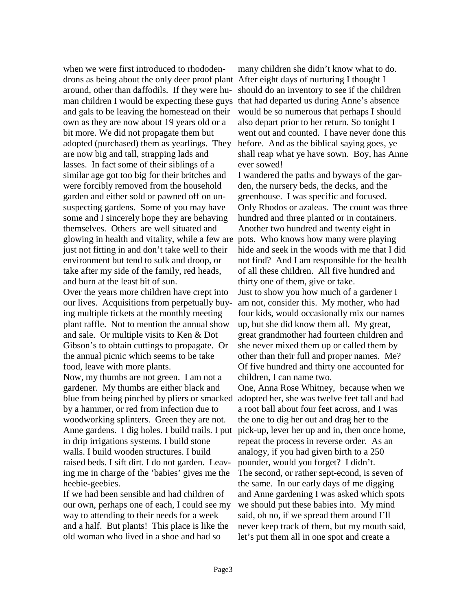when we were first introduced to rhododendrons as being about the only deer proof plant After eight days of nurturing I thought I around, other than daffodils. If they were human children I would be expecting these guys and gals to be leaving the homestead on their own as they are now about 19 years old or a bit more. We did not propagate them but adopted (purchased) them as yearlings. They are now big and tall, strapping lads and lasses. In fact some of their siblings of a similar age got too big for their britches and were forcibly removed from the household garden and either sold or pawned off on unsuspecting gardens. Some of you may have some and I sincerely hope they are behaving themselves. Others are well situated and glowing in health and vitality, while a few are pots. Who knows how many were playing just not fitting in and don't take well to their environment but tend to sulk and droop, or take after my side of the family, red heads, and burn at the least bit of sun. Over the years more children have crept into our lives. Acquisitions from perpetually buying multiple tickets at the monthly meeting plant raffle. Not to mention the annual show

and sale. Or multiple visits to Ken & Dot Gibson's to obtain cuttings to propagate. Or the annual picnic which seems to be take food, leave with more plants. Now, my thumbs are not green. I am not a gardener. My thumbs are either black and blue from being pinched by pliers or smacked by a hammer, or red from infection due to woodworking splinters. Green they are not. Anne gardens. I dig holes. I build trails. I put in drip irrigations systems. I build stone walls. I build wooden structures. I build raised beds. I sift dirt. I do not garden. Leaving me in charge of the 'babies' gives me the heebie-geebies.

If we had been sensible and had children of our own, perhaps one of each, I could see my way to attending to their needs for a week and a half. But plants! This place is like the old woman who lived in a shoe and had so

many children she didn't know what to do. should do an inventory to see if the children that had departed us during Anne's absence would be so numerous that perhaps I should also depart prior to her return. So tonight I went out and counted. I have never done this before. And as the biblical saying goes, ye shall reap what ye have sown. Boy, has Anne ever sowed!

I wandered the paths and byways of the garden, the nursery beds, the decks, and the greenhouse. I was specific and focused. Only Rhodos or azaleas. The count was three hundred and three planted or in containers. Another two hundred and twenty eight in hide and seek in the woods with me that I did not find? And I am responsible for the health of all these children. All five hundred and thirty one of them, give or take. Just to show you how much of a gardener I am not, consider this. My mother, who had four kids, would occasionally mix our names up, but she did know them all. My great, great grandmother had fourteen children and she never mixed them up or called them by other than their full and proper names. Me? Of five hundred and thirty one accounted for children, I can name two.

One, Anna Rose Whitney, because when we adopted her, she was twelve feet tall and had a root ball about four feet across, and I was the one to dig her out and drag her to the pick-up, lever her up and in, then once home, repeat the process in reverse order. As an analogy, if you had given birth to a 250 pounder, would you forget? I didn't. The second, or rather sept-econd, is seven of the same. In our early days of me digging and Anne gardening I was asked which spots we should put these babies into. My mind said, oh no, if we spread them around I'll never keep track of them, but my mouth said, let's put them all in one spot and create a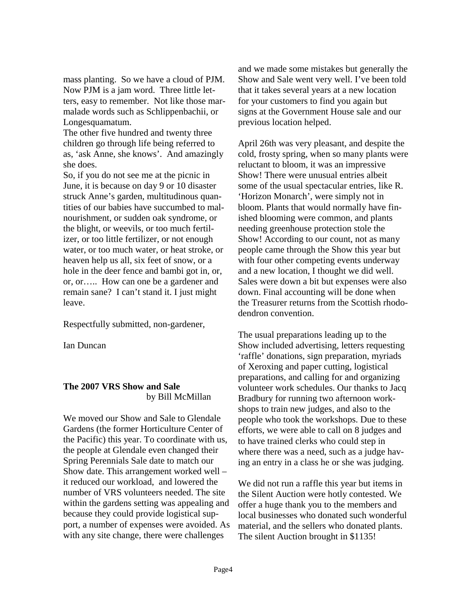mass planting. So we have a cloud of PJM. Now PJM is a jam word. Three little letters, easy to remember. Not like those marmalade words such as Schlippenbachii, or Longesquamatum.

The other five hundred and twenty three children go through life being referred to as, 'ask Anne, she knows'. And amazingly she does.

So, if you do not see me at the picnic in June, it is because on day 9 or 10 disaster struck Anne's garden, multitudinous quantities of our babies have succumbed to malnourishment, or sudden oak syndrome, or the blight, or weevils, or too much fertilizer, or too little fertilizer, or not enough water, or too much water, or heat stroke, or heaven help us all, six feet of snow, or a hole in the deer fence and bambi got in, or, or, or….. How can one be a gardener and remain sane? I can't stand it. I just might leave.

Respectfully submitted, non-gardener,

Ian Duncan

#### **The 2007 VRS Show and Sale** by Bill McMillan

We moved our Show and Sale to Glendale Gardens (the former Horticulture Center of the Pacific) this year. To coordinate with us, the people at Glendale even changed their Spring Perennials Sale date to match our Show date. This arrangement worked well – it reduced our workload, and lowered the number of VRS volunteers needed. The site within the gardens setting was appealing and because they could provide logistical support, a number of expenses were avoided. As with any site change, there were challenges

and we made some mistakes but generally the Show and Sale went very well. I've been told that it takes several years at a new location for your customers to find you again but signs at the Government House sale and our previous location helped.

April 26th was very pleasant, and despite the cold, frosty spring, when so many plants were reluctant to bloom, it was an impressive Show! There were unusual entries albeit some of the usual spectacular entries, like R. 'Horizon Monarch', were simply not in bloom. Plants that would normally have finished blooming were common, and plants needing greenhouse protection stole the Show! According to our count, not as many people came through the Show this year but with four other competing events underway and a new location, I thought we did well. Sales were down a bit but expenses were also down. Final accounting will be done when the Treasurer returns from the Scottish rhododendron convention.

The usual preparations leading up to the Show included advertising, letters requesting 'raffle' donations, sign preparation, myriads of Xeroxing and paper cutting, logistical preparations, and calling for and organizing volunteer work schedules. Our thanks to Jacq Bradbury for running two afternoon workshops to train new judges, and also to the people who took the workshops. Due to these efforts, we were able to call on 8 judges and to have trained clerks who could step in where there was a need, such as a judge having an entry in a class he or she was judging.

We did not run a raffle this year but items in the Silent Auction were hotly contested. We offer a huge thank you to the members and local businesses who donated such wonderful material, and the sellers who donated plants. The silent Auction brought in \$1135!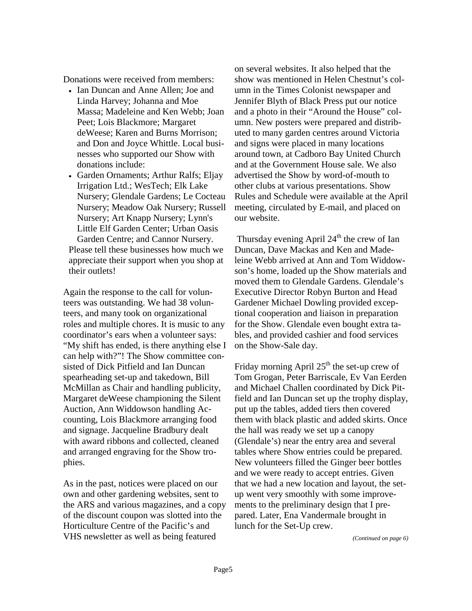Donations were received from members:

- Ian Duncan and Anne Allen: Joe and Linda Harvey; Johanna and Moe Massa; Madeleine and Ken Webb; Joan Peet; Lois Blackmore; Margaret deWeese; Karen and Burns Morrison; and Don and Joyce Whittle. Local businesses who supported our Show with donations include:
- Garden Ornaments; Arthur Ralfs; Eljay Irrigation Ltd.; WesTech; Elk Lake Nursery; Glendale Gardens; Le Cocteau Nursery; Meadow Oak Nursery; Russell Nursery; Art Knapp Nursery; Lynn's Little Elf Garden Center; Urban Oasis Garden Centre; and Cannor Nursery. Please tell these businesses how much we appreciate their support when you shop at their outlets!

Again the response to the call for volunteers was outstanding. We had 38 volunteers, and many took on organizational roles and multiple chores. It is music to any coordinator's ears when a volunteer says: "My shift has ended, is there anything else I can help with?"! The Show committee consisted of Dick Pitfield and Ian Duncan spearheading set-up and takedown, Bill McMillan as Chair and handling publicity, Margaret deWeese championing the Silent Auction, Ann Widdowson handling Accounting, Lois Blackmore arranging food and signage. Jacqueline Bradbury dealt with award ribbons and collected, cleaned and arranged engraving for the Show trophies.

As in the past, notices were placed on our own and other gardening websites, sent to the ARS and various magazines, and a copy of the discount coupon was slotted into the Horticulture Centre of the Pacific's and VHS newsletter as well as being featured

on several websites. It also helped that the show was mentioned in Helen Chestnut's column in the Times Colonist newspaper and Jennifer Blyth of Black Press put our notice and a photo in their "Around the House" column. New posters were prepared and distributed to many garden centres around Victoria and signs were placed in many locations around town, at Cadboro Bay United Church and at the Government House sale. We also advertised the Show by word-of-mouth to other clubs at various presentations. Show Rules and Schedule were available at the April meeting, circulated by E-mail, and placed on our website.

Thursday evening April  $24<sup>th</sup>$  the crew of Ian Duncan, Dave Mackas and Ken and Madeleine Webb arrived at Ann and Tom Widdowson's home, loaded up the Show materials and moved them to Glendale Gardens. Glendale's Executive Director Robyn Burton and Head Gardener Michael Dowling provided exceptional cooperation and liaison in preparation for the Show. Glendale even bought extra tables, and provided cashier and food services on the Show-Sale day.

Friday morning April  $25<sup>th</sup>$  the set-up crew of Tom Grogan, Peter Barriscale, Ev Van Eerden and Michael Challen coordinated by Dick Pitfield and Ian Duncan set up the trophy display, put up the tables, added tiers then covered them with black plastic and added skirts. Once the hall was ready we set up a canopy (Glendale's) near the entry area and several tables where Show entries could be prepared. New volunteers filled the Ginger beer bottles and we were ready to accept entries. Given that we had a new location and layout, the setup went very smoothly with some improvements to the preliminary design that I prepared. Later, Ena Vandermale brought in lunch for the Set-Up crew.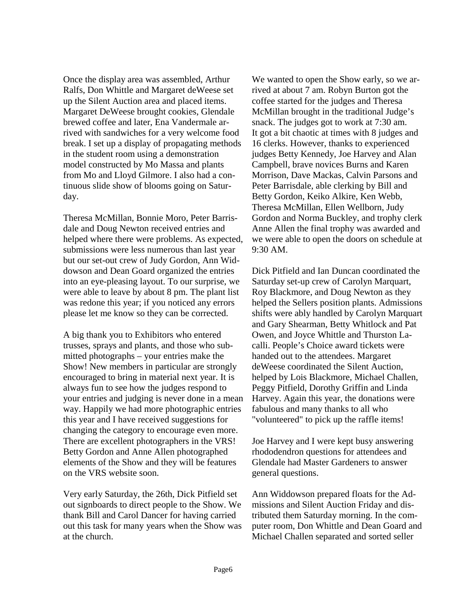Once the display area was assembled, Arthur Ralfs, Don Whittle and Margaret deWeese set up the Silent Auction area and placed items. Margaret DeWeese brought cookies, Glendale brewed coffee and later, Ena Vandermale arrived with sandwiches for a very welcome food break. I set up a display of propagating methods in the student room using a demonstration model constructed by Mo Massa and plants from Mo and Lloyd Gilmore. I also had a continuous slide show of blooms going on Saturday.

Theresa McMillan, Bonnie Moro, Peter Barrisdale and Doug Newton received entries and helped where there were problems. As expected, submissions were less numerous than last year but our set-out crew of Judy Gordon, Ann Widdowson and Dean Goard organized the entries into an eye-pleasing layout. To our surprise, we were able to leave by about 8 pm. The plant list was redone this year; if you noticed any errors please let me know so they can be corrected.

A big thank you to Exhibitors who entered trusses, sprays and plants, and those who submitted photographs – your entries make the Show! New members in particular are strongly encouraged to bring in material next year. It is always fun to see how the judges respond to your entries and judging is never done in a mean way. Happily we had more photographic entries this year and I have received suggestions for changing the category to encourage even more. There are excellent photographers in the VRS! Betty Gordon and Anne Allen photographed elements of the Show and they will be features on the VRS website soon.

Very early Saturday, the 26th, Dick Pitfield set out signboards to direct people to the Show. We thank Bill and Carol Dancer for having carried out this task for many years when the Show was at the church.

We wanted to open the Show early, so we arrived at about 7 am. Robyn Burton got the coffee started for the judges and Theresa McMillan brought in the traditional Judge's snack. The judges got to work at 7:30 am. It got a bit chaotic at times with 8 judges and 16 clerks. However, thanks to experienced judges Betty Kennedy, Joe Harvey and Alan Campbell, brave novices Burns and Karen Morrison, Dave Mackas, Calvin Parsons and Peter Barrisdale, able clerking by Bill and Betty Gordon, Keiko Alkire, Ken Webb, Theresa McMillan, Ellen Wellborn, Judy Gordon and Norma Buckley, and trophy clerk Anne Allen the final trophy was awarded and we were able to open the doors on schedule at 9:30 AM.

Dick Pitfield and Ian Duncan coordinated the Saturday set-up crew of Carolyn Marquart, Roy Blackmore, and Doug Newton as they helped the Sellers position plants. Admissions shifts were ably handled by Carolyn Marquart and Gary Shearman, Betty Whitlock and Pat Owen, and Joyce Whittle and Thurston Lacalli. People's Choice award tickets were handed out to the attendees. Margaret deWeese coordinated the Silent Auction, helped by Lois Blackmore, Michael Challen, Peggy Pitfield, Dorothy Griffin and Linda Harvey. Again this year, the donations were fabulous and many thanks to all who "volunteered" to pick up the raffle items!

Joe Harvey and I were kept busy answering rhododendron questions for attendees and Glendale had Master Gardeners to answer general questions.

Ann Widdowson prepared floats for the Admissions and Silent Auction Friday and distributed them Saturday morning. In the computer room, Don Whittle and Dean Goard and Michael Challen separated and sorted seller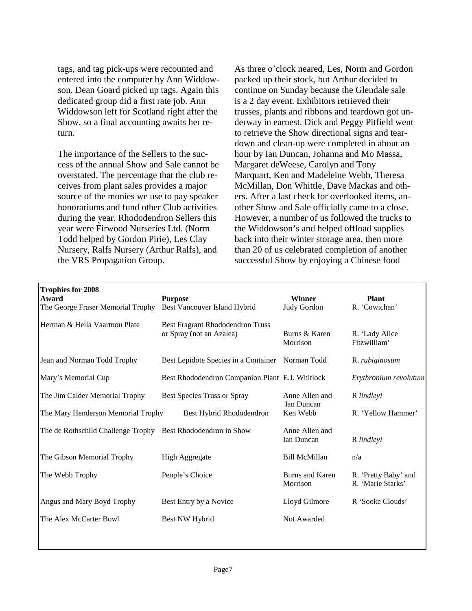tags, and tag pick-ups were recounted and entered into the computer by Ann Widdowson. Dean Goard picked up tags. Again this dedicated group did a first rate job. Ann Widdowson left for Scotland right after the Show, so a final accounting awaits her return.

The importance of the Sellers to the success of the annual Show and Sale cannot be overstated. The percentage that the club receives from plant sales provides a major source of the monies we use to pay speaker honorariums and fund other Club activities during the year. Rhododendron Sellers this year were Firwood Nurseries Ltd. (Norm Todd helped by Gordon Pirie), Les Clay Nursery, Ralfs Nursery (Arthur Ralfs), and the VRS Propagation Group.

As three o'clock neared, Les, Norm and Gordon packed up their stock, but Arthur decided to continue on Sunday because the Glendale sale is a 2 day event. Exhibitors retrieved their trusses, plants and ribbons and teardown got underway in earnest. Dick and Peggy Pitfield went to retrieve the Show directional signs and teardown and clean-up were completed in about an hour by Ian Duncan, Johanna and Mo Massa, Margaret deWeese, Carolyn and Tony Marquart, Ken and Madeleine Webb, Theresa McMillan, Don Whittle, Dave Mackas and others. After a last check for overlooked items, another Show and Sale officially came to a close. However, a number of us followed the trucks to the Widdowson's and helped offload supplies back into their winter storage area, then more than 20 of us celebrated completion of another successful Show by enjoying a Chinese food

| <b>Trophies for 2008</b><br>Award<br>The George Fraser Memorial Trophy | <b>Purpose</b><br>Best Vancouver Island Hybrid               | <b>Winner</b><br>Judy Gordon        | <b>Plant</b><br>R. 'Cowichan'             |
|------------------------------------------------------------------------|--------------------------------------------------------------|-------------------------------------|-------------------------------------------|
| Herman & Hella Vaartnou Plate                                          | Best Fragrant Rhododendron Truss<br>or Spray (not an Azalea) | Burns & Karen<br>Morrison           | R. 'Lady Alice<br>Fitzwilliam'            |
| Jean and Norman Todd Trophy                                            | Best Lepidote Species in a Container Norman Todd             |                                     | R. <i>rubiginosum</i>                     |
| Mary's Memorial Cup                                                    | Best Rhododendron Companion Plant E.J. Whitlock              |                                     | Erythronium revolutum                     |
| The Jim Calder Memorial Trophy                                         | Best Species Truss or Spray                                  | Anne Allen and<br><b>Ian Duncan</b> | R lindlevi                                |
| The Mary Henderson Memorial Trophy                                     | Best Hybrid Rhododendron                                     | Ken Webb                            | R. 'Yellow Hammer'                        |
| The de Rothschild Challenge Trophy                                     | Best Rhododendron in Show                                    | Anne Allen and<br><b>Ian Duncan</b> | R lindlevi                                |
| The Gibson Memorial Trophy                                             | <b>High Aggregate</b>                                        | <b>Bill McMillan</b>                | n/a                                       |
| The Webb Trophy                                                        | People's Choice                                              | Burns and Karen<br>Morrison         | R. 'Pretty Baby' and<br>R. 'Marie Starks' |
| Angus and Mary Boyd Trophy                                             | Best Entry by a Novice                                       | Lloyd Gilmore                       | R 'Sooke Clouds'                          |
| The Alex McCarter Bowl                                                 | Best NW Hybrid                                               | Not Awarded                         |                                           |